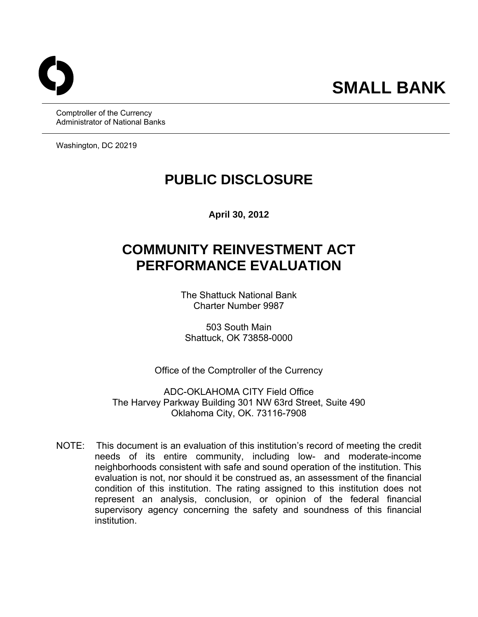Comptroller of the Currency Administrator of National Banks

Washington, DC 20219

## **PUBLIC DISCLOSURE**

**April 30, 2012** 

# **COMMUNITY REINVESTMENT ACT PERFORMANCE EVALUATION**

The Shattuck National Bank Charter Number 9987

503 South Main Shattuck, OK 73858-0000

Office of the Comptroller of the Currency

ADC-OKLAHOMA CITY Field Office The Harvey Parkway Building 301 NW 63rd Street, Suite 490 Oklahoma City, OK. 73116-7908

 NOTE: This document is an evaluation of this institution's record of meeting the credit needs of its entire community, including low- and moderate-income neighborhoods consistent with safe and sound operation of the institution. This evaluation is not, nor should it be construed as, an assessment of the financial condition of this institution. The rating assigned to this institution does not represent an analysis, conclusion, or opinion of the federal financial supervisory agency concerning the safety and soundness of this financial institution.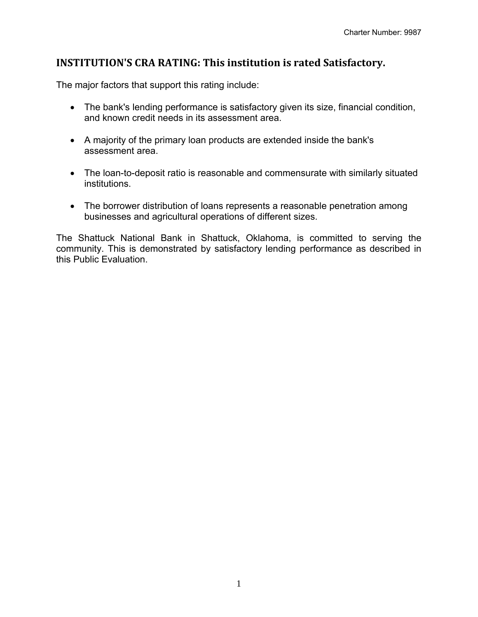## **INSTITUTION'S CRA RATING: This institution is rated Satisfactory.**

The major factors that support this rating include:

- The bank's lending performance is satisfactory given its size, financial condition, and known credit needs in its assessment area.
- A majority of the primary loan products are extended inside the bank's assessment area.
- The loan-to-deposit ratio is reasonable and commensurate with similarly situated institutions.
- The borrower distribution of loans represents a reasonable penetration among businesses and agricultural operations of different sizes.

The Shattuck National Bank in Shattuck, Oklahoma, is committed to serving the community. This is demonstrated by satisfactory lending performance as described in this Public Evaluation.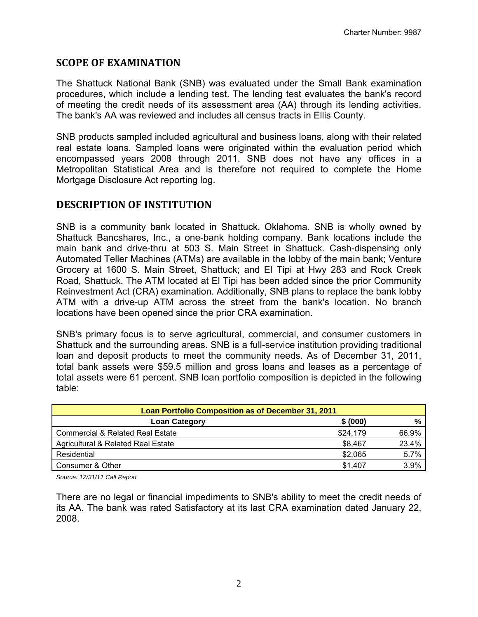## **SCOPE OF EXAMINATION**

The Shattuck National Bank (SNB) was evaluated under the Small Bank examination procedures, which include a lending test. The lending test evaluates the bank's record of meeting the credit needs of its assessment area (AA) through its lending activities. The bank's AA was reviewed and includes all census tracts in Ellis County.

SNB products sampled included agricultural and business loans, along with their related real estate loans. Sampled loans were originated within the evaluation period which encompassed years 2008 through 2011. SNB does not have any offices in a Metropolitan Statistical Area and is therefore not required to complete the Home Mortgage Disclosure Act reporting log.

## **DESCRIPTION OF INSTITUTION**

SNB is a community bank located in Shattuck, Oklahoma. SNB is wholly owned by Shattuck Bancshares, Inc., a one-bank holding company. Bank locations include the main bank and drive-thru at 503 S. Main Street in Shattuck. Cash-dispensing only Automated Teller Machines (ATMs) are available in the lobby of the main bank; Venture Grocery at 1600 S. Main Street, Shattuck; and El Tipi at Hwy 283 and Rock Creek Road, Shattuck. The ATM located at El Tipi has been added since the prior Community Reinvestment Act (CRA) examination. Additionally, SNB plans to replace the bank lobby ATM with a drive-up ATM across the street from the bank's location. No branch locations have been opened since the prior CRA examination.

SNB's primary focus is to serve agricultural, commercial, and consumer customers in Shattuck and the surrounding areas. SNB is a full-service institution providing traditional loan and deposit products to meet the community needs. As of December 31, 2011, total bank assets were \$59.5 million and gross loans and leases as a percentage of total assets were 61 percent. SNB loan portfolio composition is depicted in the following table:

| Loan Portfolio Composition as of December 31, 2011 |          |       |  |  |  |
|----------------------------------------------------|----------|-------|--|--|--|
| <b>Loan Category</b>                               | \$ (000) | %     |  |  |  |
| Commercial & Related Real Estate                   | \$24,179 | 66.9% |  |  |  |
| Agricultural & Related Real Estate                 | \$8,467  | 23.4% |  |  |  |
| Residential                                        | \$2,065  | 5.7%  |  |  |  |
| Consumer & Other                                   | \$1.407  | 3.9%  |  |  |  |

*Source: 12/31/11 Call Report* 

There are no legal or financial impediments to SNB's ability to meet the credit needs of its AA. The bank was rated Satisfactory at its last CRA examination dated January 22, 2008.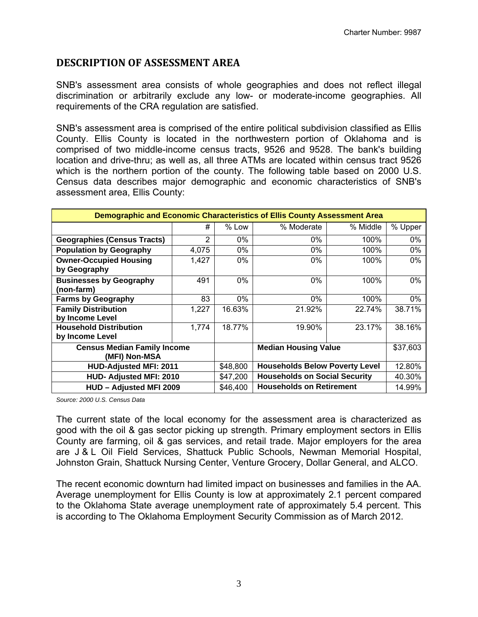#### **DESCRIPTION OF ASSESSMENT AREA**

SNB's assessment area consists of whole geographies and does not reflect illegal discrimination or arbitrarily exclude any low- or moderate-income geographies. All requirements of the CRA regulation are satisfied.

SNB's assessment area is comprised of the entire political subdivision classified as Ellis County. Ellis County is located in the northwestern portion of Oklahoma and is comprised of two middle-income census tracts, 9526 and 9528. The bank's building location and drive-thru; as well as, all three ATMs are located within census tract 9526 which is the northern portion of the county. The following table based on 2000 U.S. Census data describes major demographic and economic characteristics of SNB's assessment area, Ellis County:

| <b>Demographic and Economic Characteristics of Ellis County Assessment Area</b> |          |                                       |            |          |         |  |  |
|---------------------------------------------------------------------------------|----------|---------------------------------------|------------|----------|---------|--|--|
|                                                                                 | #        | $%$ Low                               | % Moderate | % Middle | % Upper |  |  |
| <b>Geographies (Census Tracts)</b>                                              | 2        | 0%                                    | 0%         | 100%     | $0\%$   |  |  |
| <b>Population by Geography</b>                                                  | 4,075    | 0%                                    | 0%         | 100%     | 0%      |  |  |
| <b>Owner-Occupied Housing</b>                                                   | 1,427    | 0%                                    | $0\%$      | 100%     | $0\%$   |  |  |
| by Geography                                                                    |          |                                       |            |          |         |  |  |
| <b>Businesses by Geography</b>                                                  | 491      | $0\%$                                 | $0\%$      | 100%     | 0%      |  |  |
| (non-farm)                                                                      |          |                                       |            |          |         |  |  |
| <b>Farms by Geography</b>                                                       | 83       | 0%                                    | 0%         | 100%     | 0%      |  |  |
| <b>Family Distribution</b>                                                      | 1,227    | 16.63%                                | 21.92%     | 22.74%   | 38.71%  |  |  |
| by Income Level                                                                 |          |                                       |            |          |         |  |  |
| <b>Household Distribution</b>                                                   | 1,774    | 18.77%                                | 19.90%     | 23.17%   | 38.16%  |  |  |
| by Income Level                                                                 |          |                                       |            |          |         |  |  |
| <b>Census Median Family Income</b>                                              |          | <b>Median Housing Value</b>           | \$37,603   |          |         |  |  |
| (MFI) Non-MSA                                                                   |          |                                       |            |          |         |  |  |
| <b>HUD-Adjusted MFI: 2011</b>                                                   | \$48,800 | <b>Households Below Poverty Level</b> | 12.80%     |          |         |  |  |
| HUD- Adjusted MFI: 2010                                                         | \$47,200 | <b>Households on Social Security</b>  | 40.30%     |          |         |  |  |
| HUD - Adjusted MFI 2009                                                         | \$46,400 | <b>Households on Retirement</b>       | 14.99%     |          |         |  |  |

*Source: 2000 U.S. Census Data* 

The current state of the local economy for the assessment area is characterized as good with the oil & gas sector picking up strength. Primary employment sectors in Ellis County are farming, oil & gas services, and retail trade. Major employers for the area are J & L Oil Field Services, Shattuck Public Schools, Newman Memorial Hospital, Johnston Grain, Shattuck Nursing Center, Venture Grocery, Dollar General, and ALCO.

The recent economic downturn had limited impact on businesses and families in the AA. Average unemployment for Ellis County is low at approximately 2.1 percent compared to the Oklahoma State average unemployment rate of approximately 5.4 percent. This is according to The Oklahoma Employment Security Commission as of March 2012.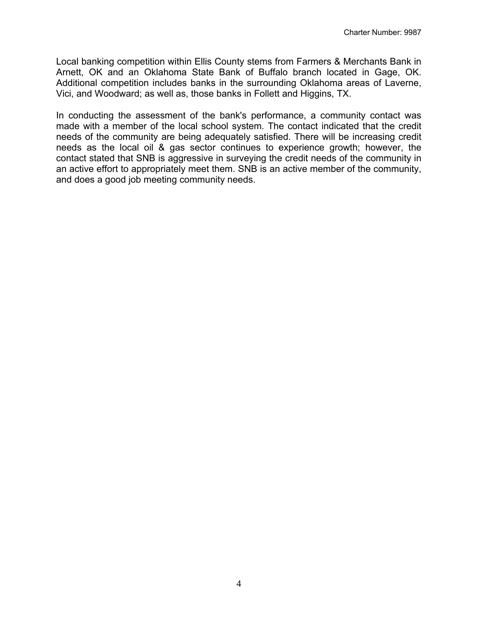Local banking competition within Ellis County stems from Farmers & Merchants Bank in Arnett, OK and an Oklahoma State Bank of Buffalo branch located in Gage, OK. Additional competition includes banks in the surrounding Oklahoma areas of Laverne, Vici, and Woodward; as well as, those banks in Follett and Higgins, TX.

In conducting the assessment of the bank's performance, a community contact was made with a member of the local school system. The contact indicated that the credit needs of the community are being adequately satisfied. There will be increasing credit needs as the local oil & gas sector continues to experience growth; however, the contact stated that SNB is aggressive in surveying the credit needs of the community in an active effort to appropriately meet them. SNB is an active member of the community, and does a good job meeting community needs.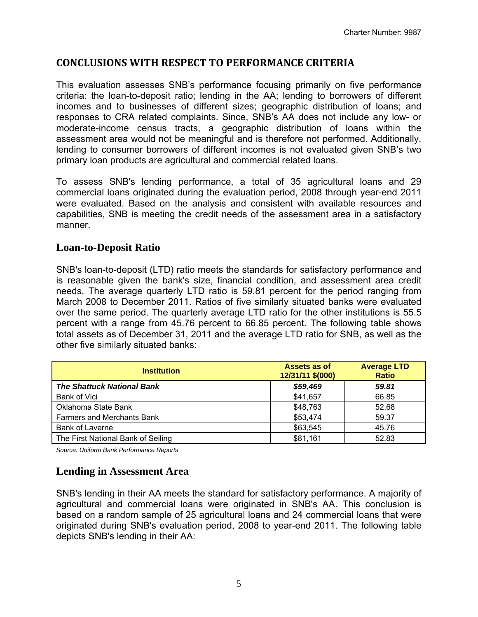## **CONCLUSIONS WITH RESPECT TO PERFORMANCE CRITERIA**

This evaluation assesses SNB's performance focusing primarily on five performance criteria: the loan-to-deposit ratio; lending in the AA; lending to borrowers of different incomes and to businesses of different sizes; geographic distribution of loans; and responses to CRA related complaints. Since, SNB's AA does not include any low- or moderate-income census tracts, a geographic distribution of loans within the assessment area would not be meaningful and is therefore not performed. Additionally, lending to consumer borrowers of different incomes is not evaluated given SNB's two primary loan products are agricultural and commercial related loans.

To assess SNB's lending performance, a total of 35 agricultural loans and 29 commercial loans originated during the evaluation period, 2008 through year-end 2011 were evaluated. Based on the analysis and consistent with available resources and capabilities, SNB is meeting the credit needs of the assessment area in a satisfactory manner.

#### **Loan-to-Deposit Ratio**

SNB's loan-to-deposit (LTD) ratio meets the standards for satisfactory performance and is reasonable given the bank's size, financial condition, and assessment area credit needs. The average quarterly LTD ratio is 59.81 percent for the period ranging from March 2008 to December 2011. Ratios of five similarly situated banks were evaluated over the same period. The quarterly average LTD ratio for the other institutions is 55.5 percent with a range from 45.76 percent to 66.85 percent. The following table shows total assets as of December 31, 2011 and the average LTD ratio for SNB, as well as the other five similarly situated banks:

| <b>Institution</b>                 | Assets as of<br>12/31/11 \$(000) | <b>Average LTD</b><br><b>Ratio</b> |  |
|------------------------------------|----------------------------------|------------------------------------|--|
| <b>The Shattuck National Bank</b>  | \$59,469                         | 59.81                              |  |
| Bank of Vici                       | \$41,657                         | 66.85                              |  |
| Oklahoma State Bank                | \$48,763                         | 52.68                              |  |
| <b>Farmers and Merchants Bank</b>  | \$53,474                         | 59.37                              |  |
| <b>Bank of Laverne</b>             | \$63,545                         | 45.76                              |  |
| The First National Bank of Seiling | \$81,161                         | 52.83                              |  |

*Source: Uniform Bank Performance Reports* 

#### **Lending in Assessment Area**

SNB's lending in their AA meets the standard for satisfactory performance. A majority of agricultural and commercial loans were originated in SNB's AA. This conclusion is based on a random sample of 25 agricultural loans and 24 commercial loans that were originated during SNB's evaluation period, 2008 to year-end 2011. The following table depicts SNB's lending in their AA: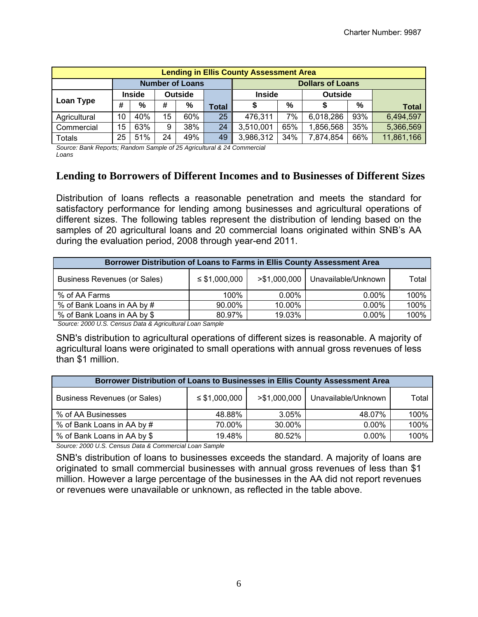| <b>Lending in Ellis County Assessment Area</b> |    |               |    |                |                         |               |     |                |     |              |
|------------------------------------------------|----|---------------|----|----------------|-------------------------|---------------|-----|----------------|-----|--------------|
| <b>Number of Loans</b>                         |    |               |    |                | <b>Dollars of Loans</b> |               |     |                |     |              |
|                                                |    | <b>Inside</b> |    | <b>Outside</b> |                         | <b>Inside</b> |     | <b>Outside</b> |     |              |
| Loan Type                                      | #  | $\%$          | #  | %              | <b>Total</b>            |               | %   |                | %   | <b>Total</b> |
| Agricultural                                   | 10 | 40%           | 15 | 60%            | 25                      | 476,311       | 7%  | 6,018,286      | 93% | 6,494,597    |
| Commercial                                     | 15 | 63%           | 9  | 38%            | 24                      | 3,510,001     | 65% | ,856,568       | 35% | 5,366,569    |
| <b>Totals</b>                                  | 25 | 51%           | 24 | 49%            | 49                      | 3,986,312     | 34% | 7,874,854      | 66% | 11,861,166   |

*Source: Bank Reports; Random Sample of 25 Agricultural & 24 Commercial Loans* 

#### **Lending to Borrowers of Different Incomes and to Businesses of Different Sizes**

Distribution of loans reflects a reasonable penetration and meets the standard for satisfactory performance for lending among businesses and agricultural operations of different sizes. The following tables represent the distribution of lending based on the samples of 20 agricultural loans and 20 commercial loans originated within SNB's AA during the evaluation period, 2008 through year-end 2011.

| Borrower Distribution of Loans to Farms in Ellis County Assessment Area |                    |               |                     |       |  |  |
|-------------------------------------------------------------------------|--------------------|---------------|---------------------|-------|--|--|
| <b>Business Revenues (or Sales)</b>                                     | $\leq$ \$1,000,000 | > \$1,000,000 | Unavailable/Unknown | Total |  |  |
| % of AA Farms                                                           | 100%               | $0.00\%$      | $0.00\%$            | 100%  |  |  |
| % of Bank Loans in AA by #                                              | 90.00%             | 10.00%        | $0.00\%$            | 100%  |  |  |
| % of Bank Loans in AA by \$                                             | 80.97%             | 19.03%        | $0.00\%$            | 100%  |  |  |

*Source: 2000 U.S. Census Data & Agricultural Loan Sample* 

SNB's distribution to agricultural operations of different sizes is reasonable. A majority of agricultural loans were originated to small operations with annual gross revenues of less than \$1 million.

| Borrower Distribution of Loans to Businesses in Ellis County Assessment Area |                    |               |                     |       |  |  |
|------------------------------------------------------------------------------|--------------------|---------------|---------------------|-------|--|--|
| <b>Business Revenues (or Sales)</b>                                          | $\leq$ \$1,000,000 | > \$1,000,000 | Unavailable/Unknown | Total |  |  |
| % of AA Businesses                                                           | 48.88%             | 3.05%         | 48.07%              | 100%  |  |  |
| % of Bank Loans in AA by #                                                   | 70.00%             | 30.00%        | $0.00\%$            | 100%  |  |  |
| % of Bank Loans in AA by \$                                                  | 19.48%             | 80.52%        | $0.00\%$            | 100%  |  |  |

*Source: 2000 U.S. Census Data & Commercial Loan Sample* 

SNB's distribution of loans to businesses exceeds the standard. A majority of loans are originated to small commercial businesses with annual gross revenues of less than \$1 million. However a large percentage of the businesses in the AA did not report revenues or revenues were unavailable or unknown, as reflected in the table above.